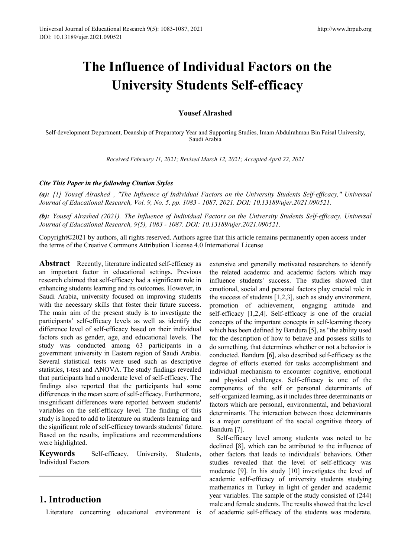# **The Influence of Individual Factors on the University Students Self-efficacy**

## **Yousef Alrashed**

Self-development Department, Deanship of Preparatory Year and Supporting Studies, Imam Abdulrahman Bin Faisal University, Saudi Arabia

*Received February 11, 2021; Revised March 12, 2021; Accepted April 22, 2021*

## *Cite This Paper in the following Citation Styles*

*(a): [1] Yousef Alrashed , "The Influence of Individual Factors on the University Students Self-efficacy," Universal Journal of Educational Research, Vol. 9, No. 5, pp. 1083 - 1087, 2021. DOI: 10.13189/ujer.2021.090521.* 

*(b): Yousef Alrashed (2021). The Influence of Individual Factors on the University Students Self-efficacy. Universal Journal of Educational Research, 9(5), 1083 - 1087. DOI: 10.13189/ujer.2021.090521.* 

Copyright©2021 by authors, all rights reserved. Authors agree that this article remains permanently open access under the terms of the Creative Commons Attribution License 4.0 International License

**Abstract** Recently, literature indicated self-efficacy as an important factor in educational settings. Previous research claimed that self-efficacy had a significant role in enhancing students learning and its outcomes. However, in Saudi Arabia, university focused on improving students with the necessary skills that foster their future success. The main aim of the present study is to investigate the participants' self-efficacy levels as well as identify the difference level of self-efficacy based on their individual factors such as gender, age, and educational levels. The study was conducted among 63 participants in a government university in Eastern region of Saudi Arabia. Several statistical tests were used such as descriptive statistics, t-test and ANOVA. The study findings revealed that participants had a moderate level of self-efficacy. The findings also reported that the participants had some differences in the mean score of self-efficacy. Furthermore, insignificant differences were reported between students' variables on the self-efficacy level. The finding of this study is hoped to add to literature on students learning and the significant role of self-efficacy towards students' future. Based on the results, implications and recommendations were highlighted.

**Keywords** Self-efficacy, University, Students, Individual Factors

# **1. Introduction**

Literature concerning educational environment is

extensive and generally motivated researchers to identify the related academic and academic factors which may influence students' success. The studies showed that emotional, social and personal factors play crucial role in the success of students [1,2,3], such as study environment, promotion of achievement, engaging attitude and self-efficacy [1,2,4]. Self-efficacy is one of the crucial concepts of the important concepts in self-learning theory which has been defined by Bandura [5], as "the ability used for the description of how to behave and possess skills to do something, that determines whether or not a behavior is conducted. Bandura [6], also described self-efficacy as the degree of efforts exerted for tasks accomplishment and individual mechanism to encounter cognitive, emotional and physical challenges. Self-efficacy is one of the components of the self or personal determinants of self-organized learning, as it includes three determinants or factors which are personal, environmental, and behavioral determinants. The interaction between those determinants is a major constituent of the social cognitive theory of Bandura [7].

Self-efficacy level among students was noted to be declined [8], which can be attributed to the influence of other factors that leads to individuals' behaviors. Other studies revealed that the level of self-efficacy was moderate [9]. In his study [10] investigates the level of academic self-efficacy of university students studying mathematics in Turkey in light of gender and academic year variables. The sample of the study consisted of (244) male and female students. The results showed that the level of academic self-efficacy of the students was moderate.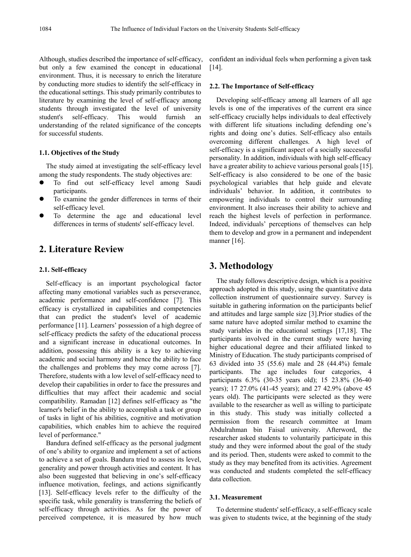Although, studies described the importance of self-efficacy, but only a few examined the concept in educational environment. Thus, it is necessary to enrich the literature by conducting more studies to identify the self-efficacy in the educational settings. This study primarily contributes to literature by examining the level of self-efficacy among students through investigated the level of university student's self-efficacy. This would furnish an understanding of the related significance of the concepts for successful students.

## **1.1. Objectives of the Study**

The study aimed at investigating the self-efficacy level among the study respondents. The study objectives are:

- To find out self-efficacy level among Saudi participants.
- To examine the gender differences in terms of their self-efficacy level.
- To determine the age and educational level differences in terms of students' self-efficacy level.

# **2. Literature Review**

## **2.1. Self-efficacy**

Self-efficacy is an important psychological factor affecting many emotional variables such as perseverance, academic performance and self-confidence [7]. This efficacy is crystallized in capabilities and competencies that can predict the student's level of academic performance [11]. Learners' possession of a high degree of self-efficacy predicts the safety of the educational process and a significant increase in educational outcomes. In addition, possessing this ability is a key to achieving academic and social harmony and hence the ability to face the challenges and problems they may come across [7]. Therefore, students with a low level of self-efficacy need to develop their capabilities in order to face the pressures and difficulties that may affect their academic and social compatibility. Ramadan [12] defines self-efficacy as "the learner's belief in the ability to accomplish a task or group of tasks in light of his abilities, cognitive and motivation capabilities, which enables him to achieve the required level of performance."

Bandura defined self-efficacy as the personal judgment of one's ability to organize and implement a set of actions to achieve a set of goals. Bandura tried to assess its level, generality and power through activities and content. It has also been suggested that believing in one's self-efficacy influence motivation, feelings, and actions significantly [13]. Self-efficacy levels refer to the difficulty of the specific task, while generality is transferring the beliefs of self-efficacy through activities. As for the power of perceived competence, it is measured by how much

confident an individual feels when performing a given task [14].

## **2.2. The Importance of Self-efficacy**

Developing self-efficacy among all learners of all age levels is one of the imperatives of the current era since self-efficacy crucially helps individuals to deal effectively with different life situations including defending one's rights and doing one's duties. Self-efficacy also entails overcoming different challenges. A high level of self-efficacy is a significant aspect of a socially successful personality. In addition, individuals with high self-efficacy have a greater ability to achieve various personal goals [15]. Self-efficacy is also considered to be one of the basic psychological variables that help guide and elevate individuals' behavior. In addition, it contributes to empowering individuals to control their surrounding environment. It also increases their ability to achieve and reach the highest levels of perfection in performance. Indeed, individuals' perceptions of themselves can help them to develop and grow in a permanent and independent manner [16].

## **3. Methodology**

The study follows descriptive design, which is a positive approach adopted in this study, using the quantitative data collection instrument of questionnaire survey. Survey is suitable in gathering information on the participants belief and attitudes and large sample size [3].Prior studies of the same nature have adopted similar method to examine the study variables in the educational settings [17,18]. The participants involved in the current study were having higher educational degree and their affiliated linked to Ministry of Education. The study participants comprised of 63 divided into 35 (55.6) male and 28 (44.4%) female participants. The age includes four categories, 4 participants 6.3% (30-35 years old); 15 23.8% (36-40 years); 17 27.0% (41-45 years); and 27 42.9% (above 45 years old). The participants were selected as they were available to the researcher as well as willing to participate in this study. This study was initially collected a permission from the research committee at Imam Abdulrahman bin Faisal university. Afterword, the researcher asked students to voluntarily participate in this study and they were informed about the goal of the study and its period. Then, students were asked to commit to the study as they may benefited from its activities. Agreement was conducted and students completed the self-efficacy data collection.

#### **3.1. Measurement**

To determine students' self-efficacy, a self-efficacy scale was given to students twice, at the beginning of the study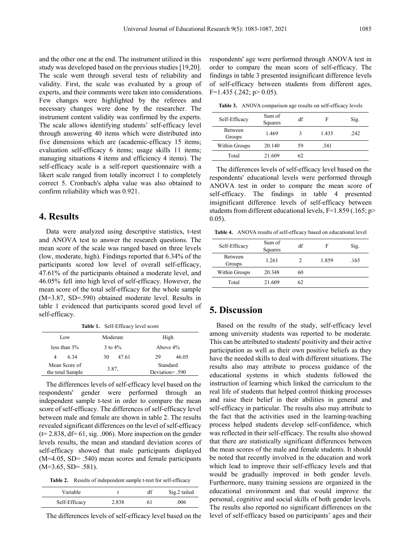and the other one at the end. The instrument utilized in this study was developed based on the previous studies [19,20]. The scale went through several tests of reliability and validity. First, the scale was evaluated by a group of experts, and their comments were taken into considerations. Few changes were highlighted by the referees and necessary changes were done by the researcher. The instrument content validity was confirmed by the experts. The scale allows identifying students' self-efficacy level through answering 40 items which were distributed into five dimensions which are (academic-efficacy 15 items; evaluation self-efficacy 6 items; usage skills 11 items; managing situations 4 items and efficiency 4 items). The self-efficacy scale is a self-report questionnaire with a likert scale ranged from totally incorrect 1 to completely correct 5. Cronbach's alpha value was also obtained to confirm reliability which was 0.921.

# **4. Results**

Data were analyzed using descriptive statistics, t-test and ANOVA test to answer the research questions. The mean score of the scale was ranged based on three levels (low, moderate, high). Findings reported that 6.34% of the participants scored low level of overall self-efficacy, 47.61% of the participants obtained a moderate level, and 46.05% fell into high level of self-efficacy. However, the mean score of the total self-efficacy for the whole sample (M=3.87, SD=.590) obtained moderate level. Results in table 1 evidenced that participants scored good level of self-efficacy.

**Table 1.** Self-Efficacy level score Low Moderate High less than  $3\%$  3 to  $4\%$  Above  $4\%$ 4 6.34 30 47.61 29 46.05 Mean Score of Mean Score of Standard<br>the total Sample 3.87, Standard<br>Deviation=. Deviation= .590

The differences levels of self-efficacy level based on the respondents' gender were performed through an independent sample t-test in order to compare the mean score of self-efficacy. The differences of self-efficacy level between male and female are shown in table 2. The results revealed significant differences on the level of self-efficacy  $(t= 2.838, df= 61, sig. .006)$ . More inspection on the gender levels results, the mean and standard deviation scores of self-efficacy showed that male participants displayed (M=4.05, SD= .540) mean scores and female participants  $(M=3.65, SD=.581)$ .

**Table 2.** Results of independent sample t-test for self-efficacy

| Variable      |       | Sig.2 tailed |
|---------------|-------|--------------|
| Self-Efficacy | 2.838 | 006          |

The differences levels of self-efficacy level based on the

respondents' age were performed through ANOVA test in order to compare the mean score of self-efficacy. The findings in table 3 presented insignificant difference levels of self-efficacy between students from different ages,  $F=1.435$  (.242; p > 0.05).

**Table 3.** ANOVA comparison age results on self-efficacy levels

| Self-Efficacy            | Sum of<br>Squares | df | F     | Sig. |
|--------------------------|-------------------|----|-------|------|
| <b>Between</b><br>Groups | 1.469             |    | 1.435 | .242 |
| Within Groups            | 20.140            | 59 | .341  |      |
| Total                    | 21.609            | 62 |       |      |

The differences levels of self-efficacy level based on the respondents' educational levels were performed through ANOVA test in order to compare the mean score of self-efficacy. The findings in table 4 presented insignificant difference levels of self-efficacy between students from different educational levels, F=1.859 (.165; p> 0.05).

**Table 4.** ANOVA results of self-efficacy based on educational level

| Self-Efficacy            | Sum of<br>Squares | df | F     | Sig. |
|--------------------------|-------------------|----|-------|------|
| <b>Between</b><br>Groups | 1.261             |    | 1.859 | .165 |
| Within Groups            | 20.348            | 60 |       |      |
| Total                    | 21.609            | 62 |       |      |

## **5. Discussion**

Based on the results of the study, self-efficacy level among university students was reported to be moderate. This can be attributed to students' positivity and their active participation as well as their own positive beliefs as they have the needed skills to deal with different situations. The results also may attribute to process guidance of the educational systems in which students followed the instruction of learning which linked the curriculum to the real life of students that helped control thinking processes and raise their belief in their abilities in general and self-efficacy in particular. The results also may attribute to the fact that the activities used in the learning-teaching process helped students develop self-confidence, which was reflected in their self-efficacy. The results also showed that there are statistically significant differences between the mean scores of the male and female students. It should be noted that recently involved in the education and work which lead to improve their self-efficacy levels and that would be gradually improved in both gender levels. Furthermore, many training sessions are organized in the educational environment and that would improve the personal, cognitive and social skills of both gender levels. The results also reported no significant differences on the level of self-efficacy based on participants' ages and their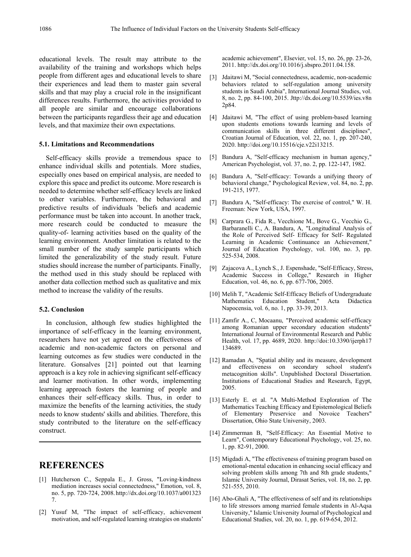educational levels. The result may attribute to the availability of the training and workshops which helps people from different ages and educational levels to share their experiences and lead them to master gain several skills and that may play a crucial role in the insignificant differences results. Furthermore, the activities provided to all people are similar and encourage collaborations between the participants regardless their age and education levels, and that maximize their own expectations.

## **5.1. Limitations and Recommendations**

Self-efficacy skills provide a tremendous space to enhance individual skills and potentials. More studies, especially ones based on empirical analysis, are needed to explore this space and predict its outcome. More research is needed to determine whether self-efficacy levels are linked to other variables. Furthermore, the behavioral and predictive results of individuals 'beliefs and academic performance must be taken into account. In another track, more research could be conducted to measure the quality-of- learning activities based on the quality of the learning environment. Another limitation is related to the small number of the study sample participants which limited the generalizability of the study result. Future studies should increase the number of participants. Finally, the method used in this study should be replaced with another data collection method such as qualitative and mix method to increase the validity of the results.

#### **5.2. Conclusion**

In conclusion, although few studies highlighted the importance of self-efficacy in the learning environment, researchers have not yet agreed on the effectiveness of academic and non-academic factors on personal and learning outcomes as few studies were conducted in the literature. Gonsalves [21] pointed out that learning approach is a key role in achieving significant self-efficacy and learner motivation. In other words, implementing learning approach fosters the learning of people and enhances their self-efficacy skills. Thus, in order to maximize the benefits of the learning activities, the study needs to know students' skills and abilities. Therefore, this study contributed to the literature on the self-efficacy construct.

# **REFERENCES**

- [1] Hutcherson C., Seppala E., J. Gross, "Loving-kindness mediation increases social connectedness," Emotion, vol. 8, no. 5, pp. 720-724, 2008.http://dx.doi.org/10.1037/a001323 7.
- [2] Yusuf M, "The impact of self-efficacy, achievement motivation, and self-regulated learning strategies on students'

academic achievement", Elsevier, vol. 15, no. 26, pp. 23-26, 2011. http://dx.doi.org/10.1016/j.sbspro.2011.04.158.

- [3] Jdaitawi M, "Social connectedness, academic, non-academic behaviors related to self-regulation among university students in Saudi Arabia", International Journal Studies, vol. 8, no. 2, pp. 84-100, 2015. Jttp://dx.doi.org/10.5539/ies.v8n 2p84.
- [4] Jdaitawi M, "The effect of using problem-based learning upon students emotions towards learning and levels of communication skills in three different disciplines", Croatian Journal of Education, vol. 22, no. 1, pp. 207-240, 2020. http://doi.org/10.15516/cje.v22i13215.
- [5] Bandura A, "Self-efficacy mechanism in human agency," American Psychologist, vol. 37, no. 2, pp. 122-147, 1982.
- [6] Bandura A, "Self-efficacy: Towards a unifying theory of behavioral change," Psychological Review, vol. 84, no. 2, pp. 191-215, 1977.
- [7] Bandura A, "Self-efficacy: The exercise of control," W. H. Freeman: New York, USA, 1997.
- [8] Carprara G., Fida R., Vecchione M., Bove G., Vecchio G., Barbaranelli C., A. Bandura, A, "Longitudinal Analysis of the Role of Perceived Self- Efficacy for Self- Regulated Learning in Academic Continuance an Achievement," Journal of Education Psychology, vol. 100, no. 3, pp. 525-534, 2008.
- [9] Zajacova A., Lynch S., J. Espenshade, "Self-Efficacy, Stress, Academic Success in College," Research in Higher Education, vol. 46, no. 6, pp. 677-706, 2005.
- [10] Melih T, "Academic Self-Efficacy Beliefs of Undergraduate Mathematics Education Student," Napocensia, vol. 6, no. 1, pp. 33-39, 2013.
- [11] Zamfir A., C, Mocaanu, "Perceived academic self-efficacy among Romanian upper secondary education students" International Journal of Environmental Research and Public Health, vol. 17, pp. 4689, 2020. http://doi:10.3390/ijerph17 134689.
- [12] Ramadan A, "Spatial ability and its measure, development and effectiveness on secondary school student's metacognition skills". Unpublished Doctoral Dissertation. Institutions of Educational Studies and Research, Egypt, 2005.
- [13] Esterly E. et al. "A Multi-Method Exploration of The Mathematics Teaching Efficacy and Epistemological Beliefs of Elementary Preservice and Novoice Teachers" Dissertation, Ohio State University, 2003.
- [14] Zimmerman B, "Self-Efficacy: An Essential Motive to Learn", Contemporary Educational Psychology, vol. 25, no. 1, pp. 82-91, 2000.
- [15] Migdadi A, "The effectiveness of training program based on emotional-mental education in enhancing social efficacy and solving problem skills among 7th and 8th grade students," Islamic University Journal, Dirasat Series, vol. 18, no. 2, pp. 521-555, 2010.
- [16] Abo-Ghali A, "The effectiveness of self and its relationships to life stressors among married female students in Al-Aqsa University," Islamic University Journal of Psychological and Educational Studies, vol. 20, no. 1, pp. 619-654, 2012.